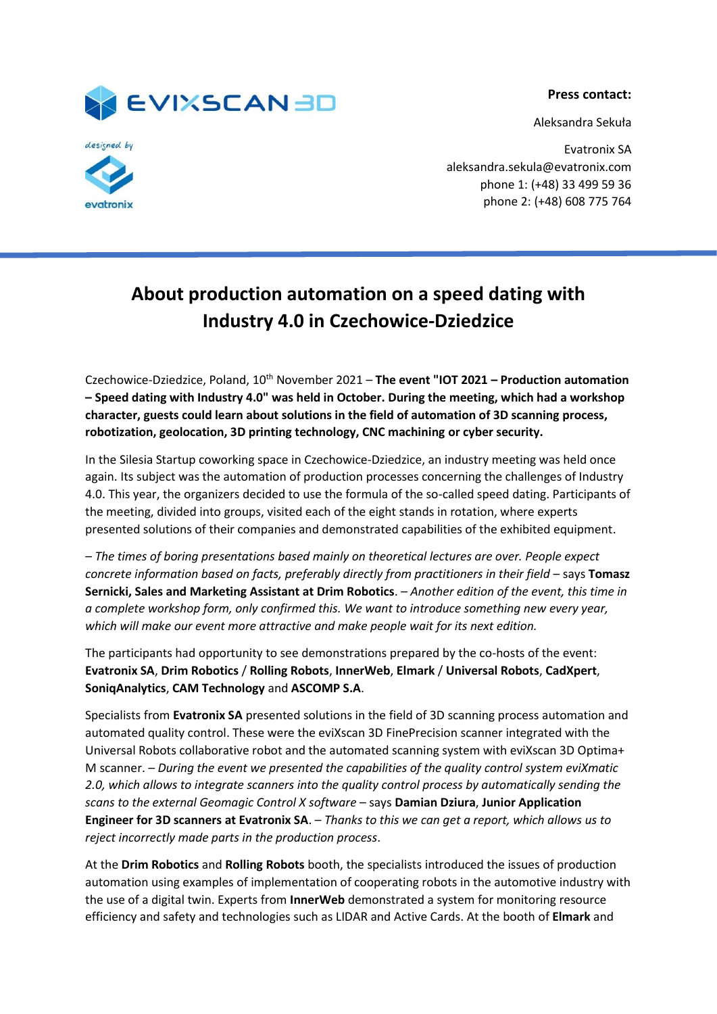

**Press contact:**

Aleksandra Sekuła



Evatronix SA aleksandra.sekula@evatronix.com phone 1: (+48) 33 499 59 36 phone 2: (+48) 608 775 764

## **About production automation on a speed dating with Industry 4.0 in Czechowice-Dziedzice**

Czechowice-Dziedzice, Poland, 10th November 2021 – **The event "IOT 2021 – Production automation – Speed dating with Industry 4.0" was held in October. During the meeting, which had a workshop character, guests could learn about solutions in the field of automation of 3D scanning process, robotization, geolocation, 3D printing technology, CNC machining or cyber security.**

In the Silesia Startup coworking space in Czechowice-Dziedzice, an industry meeting was held once again. Its subject was the automation of production processes concerning the challenges of Industry 4.0. This year, the organizers decided to use the formula of the so-called speed dating. Participants of the meeting, divided into groups, visited each of the eight stands in rotation, where experts presented solutions of their companies and demonstrated capabilities of the exhibited equipment.

*– The times of boring presentations based mainly on theoretical lectures are over. People expect concrete information based on facts, preferably directly from practitioners in their field* – says **Tomasz Sernicki, Sales and Marketing Assistant at Drim Robotics**. *– Another edition of the event, this time in a complete workshop form, only confirmed this. We want to introduce something new every year, which will make our event more attractive and make people wait for its next edition.*

The participants had opportunity to see demonstrations prepared by the co-hosts of the event: **Evatronix SA**, **Drim Robotics** / **Rolling Robots**, **InnerWeb**, **Elmark** / **Universal Robots**, **CadXpert**, **SoniqAnalytics**, **CAM Technology** and **ASCOMP S.A**.

Specialists from **Evatronix SA** presented solutions in the field of 3D scanning process automation and automated quality control. These were the eviXscan 3D FinePrecision scanner integrated with the Universal Robots collaborative robot and the automated scanning system with eviXscan 3D Optima+ M scanner. *– During the event we presented the capabilities of the quality control system eviXmatic 2.0, which allows to integrate scanners into the quality control process by automatically sending the scans to the external Geomagic Control X software* – says **Damian Dziura**, **Junior Application Engineer for 3D scanners at Evatronix SA**. *– Thanks to this we can get a report, which allows us to reject incorrectly made parts in the production process*.

At the **Drim Robotics** and **Rolling Robots** booth, the specialists introduced the issues of production automation using examples of implementation of cooperating robots in the automotive industry with the use of a digital twin. Experts from **InnerWeb** demonstrated a system for monitoring resource efficiency and safety and technologies such as LIDAR and Active Cards. At the booth of **Elmark** and